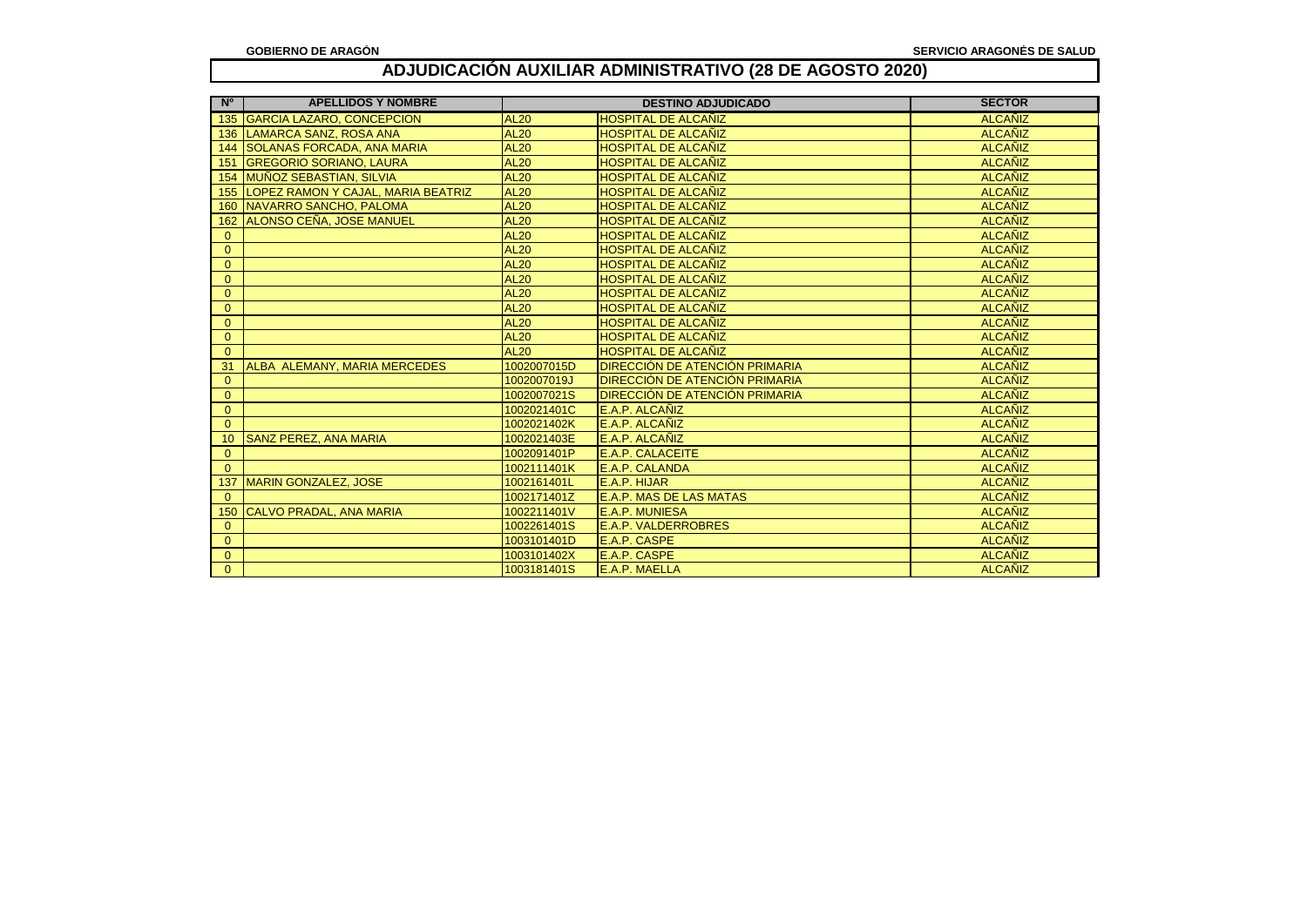| $N^{\circ}$  | <b>APELLIDOS Y NOMBRE</b>           | <b>DESTINO ADJUDICADO</b> |                                | <b>SECTOR</b>  |
|--------------|-------------------------------------|---------------------------|--------------------------------|----------------|
| 135          | <b>GARCIA LAZARO, CONCEPCION</b>    | <b>AL20</b>               | <b>HOSPITAL DE ALCAÑIZ</b>     | <b>ALCAÑIZ</b> |
| 136          | <b>LAMARCA SANZ, ROSA ANA</b>       | <b>AL20</b>               | <b>HOSPITAL DE ALCAÑIZ</b>     | <b>ALCAÑIZ</b> |
| 144          | <b>SOLANAS FORCADA. ANA MARIA</b>   | <b>AL20</b>               | <b>HOSPITAL DE ALCAÑIZ</b>     | <b>ALCAÑIZ</b> |
| 151          | <b>GREGORIO SORIANO, LAURA</b>      | <b>AL20</b>               | <b>HOSPITAL DE ALCAÑIZ</b>     | <b>ALCAÑIZ</b> |
| 154          | <b>MUÑOZ SEBASTIAN. SILVIA</b>      | <b>AL20</b>               | <b>HOSPITAL DE ALCAÑIZ</b>     | <b>ALCAÑIZ</b> |
| 155          | LOPEZ RAMON Y CAJAL, MARIA BEATRIZ  | <b>AL20</b>               | HOSPITAL DE ALCAÑIZ            | <b>ALCANIZ</b> |
| 160          | NAVARRO SANCHO, PALOMA              | <b>AL20</b>               | HOSPITAL DE ALCAÑIZ            | <b>ALCAÑIZ</b> |
| 162          | ALONSO CEÑA, JOSE MANUEL            | <b>AL20</b>               | HOSPITAL DE ALCAÑIZ            | <b>ALCAÑIZ</b> |
| $\mathbf{0}$ |                                     | <b>AL20</b>               | HOSPITAL DE ALCAÑIZ            | <b>ALCAÑIZ</b> |
| $\mathbf{0}$ |                                     | <b>AL20</b>               | HOSPITAL DE ALCAÑIZ            | <b>ALCANIZ</b> |
| $\mathbf{0}$ |                                     | <b>AL20</b>               | <b>HOSPITAL DE ALCAÑIZ</b>     | <b>ALCAÑIZ</b> |
| $\Omega$     |                                     | <b>AL20</b>               | HOSPITAL DE ALCAÑIZ            | <b>ALCAÑIZ</b> |
| $\mathbf{0}$ |                                     | <b>AL20</b>               | HOSPITAL DE ALCAÑIZ            | <b>ALCAÑIZ</b> |
| $\Omega$     |                                     | <b>AL20</b>               | HOSPITAL DE ALCAÑIZ            | <b>ALCAÑIZ</b> |
| $\mathbf{0}$ |                                     | <b>AL20</b>               | <b>HOSPITAL DE ALCAÑIZ</b>     | <b>ALCAÑIZ</b> |
| $\Omega$     |                                     | <b>AL20</b>               | <b>HOSPITAL DE ALCAÑIZ</b>     | <b>ALCAÑIZ</b> |
| $\Omega$     |                                     | <b>AL20</b>               | <b>HOSPITAL DE ALCAÑIZ</b>     | <b>ALCAÑIZ</b> |
| 31           | <b>ALBA ALEMANY. MARIA MERCEDES</b> | 1002007015D               | DIRECCIÓN DE ATENCIÓN PRIMARIA | <b>ALCANIZ</b> |
| $\Omega$     |                                     | 1002007019J               | DIRECCIÓN DE ATENCIÓN PRIMARIA | <b>ALCAÑIZ</b> |
| $\Omega$     |                                     | 1002007021S               | DIRECCIÓN DE ATENCIÓN PRIMARIA | <b>ALCAÑIZ</b> |
| $\Omega$     |                                     | 1002021401C               | E.A.P. ALCAÑIZ                 | <b>ALCAÑIZ</b> |
| $\Omega$     |                                     | 1002021402K               | E.A.P. ALCAÑIZ                 | <b>ALCAÑIZ</b> |
| 10           | <b>SANZ PEREZ, ANA MARIA</b>        | 1002021403E               | E.A.P. ALCAÑIZ                 | <b>ALCAÑIZ</b> |
| $\Omega$     |                                     | 1002091401P               | <b>E.A.P. CALACEITE</b>        | <b>ALCAÑIZ</b> |
| $\Omega$     |                                     | 1002111401K               | E.A.P. CALANDA                 | <b>ALCAÑIZ</b> |
| 137          | <b>MARIN GONZALEZ, JOSE</b>         | 1002161401L               | E.A.P. HIJAR                   | <b>ALCANIZ</b> |
| $\Omega$     |                                     | 1002171401Z               | <b>E.A.P. MAS DE LAS MATAS</b> | <b>ALCAÑIZ</b> |
| 150          | CALVO PRADAL, ANA MARIA             | 1002211401V               | <b>E.A.P. MUNIESA</b>          | <b>ALCAÑIZ</b> |
| $\mathbf{0}$ |                                     | 1002261401S               | <b>E.A.P. VALDERROBRES</b>     | <b>ALCAÑIZ</b> |
| $\mathbf{0}$ |                                     | 1003101401D               | E.A.P. CASPE                   | <b>ALCAÑIZ</b> |
| $\mathbf{0}$ |                                     | 1003101402X               | E.A.P. CASPE                   | <b>ALCANIZ</b> |
| $\Omega$     |                                     | 1003181401S               | E.A.P. MAELLA                  | <b>ALCANIZ</b> |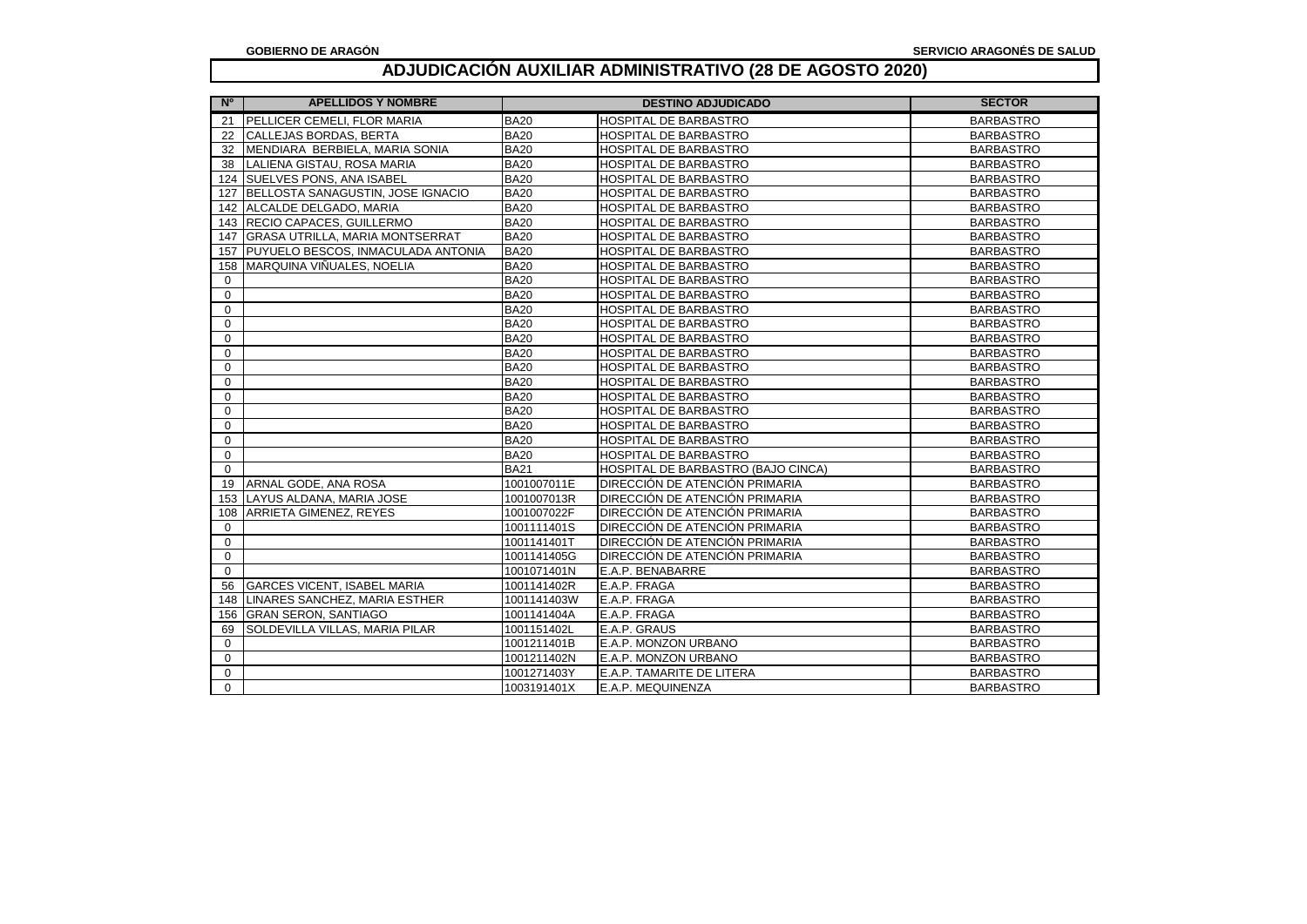| N <sup>o</sup> | <b>APELLIDOS Y NOMBRE</b>              |             | <b>DESTINO ADJUDICADO</b>          | <b>SECTOR</b>    |
|----------------|----------------------------------------|-------------|------------------------------------|------------------|
| 21             | <b>PELLICER CEMELI. FLOR MARIA</b>     | <b>BA20</b> | <b>HOSPITAL DE BARBASTRO</b>       | <b>BARBASTRO</b> |
| 22             | <b>CALLEJAS BORDAS, BERTA</b>          | <b>BA20</b> | HOSPITAL DE BARBASTRO              | <b>BARBASTRO</b> |
| 32             | MENDIARA BERBIELA, MARIA SONIA         | <b>BA20</b> | HOSPITAL DE BARBASTRO              | <b>BARBASTRO</b> |
| 38             | LALIENA GISTAU, ROSA MARIA             | <b>BA20</b> | HOSPITAL DE BARBASTRO              | <b>BARBASTRO</b> |
|                | 124 SUELVES PONS, ANA ISABEL           | <b>BA20</b> | <b>HOSPITAL DE BARBASTRO</b>       | <b>BARBASTRO</b> |
| 127            | BELLOSTA SANAGUSTIN, JOSE IGNACIO      | <b>BA20</b> | <b>HOSPITAL DE BARBASTRO</b>       | <b>BARBASTRO</b> |
| 142            | ALCALDE DELGADO, MARIA                 | <b>BA20</b> | HOSPITAL DE BARBASTRO              | <b>BARBASTRO</b> |
| 143            | <b>RECIO CAPACES, GUILLERMO</b>        | <b>BA20</b> | HOSPITAL DE BARBASTRO              | <b>BARBASTRO</b> |
| 147            | <b>GRASA UTRILLA, MARIA MONTSERRAT</b> | <b>BA20</b> | <b>HOSPITAL DE BARBASTRO</b>       | <b>BARBASTRO</b> |
| 157            | PUYUELO BESCOS, INMACULADA ANTONIA     | <b>BA20</b> | <b>HOSPITAL DE BARBASTRO</b>       | <b>BARBASTRO</b> |
| 158            | MARQUINA VIÑUALES. NOELIA              | <b>BA20</b> | HOSPITAL DE BARBASTRO              | <b>BARBASTRO</b> |
| $\Omega$       |                                        | <b>BA20</b> | <b>HOSPITAL DE BARBASTRO</b>       | <b>BARBASTRO</b> |
| $\mathbf 0$    |                                        | <b>BA20</b> | HOSPITAL DE BARBASTRO              | <b>BARBASTRO</b> |
| $\mathbf 0$    |                                        | <b>BA20</b> | HOSPITAL DE BARBASTRO              | <b>BARBASTRO</b> |
| $\mathbf 0$    |                                        | <b>BA20</b> | HOSPITAL DE BARBASTRO              | <b>BARBASTRO</b> |
| $\Omega$       |                                        | <b>BA20</b> | HOSPITAL DE BARBASTRO              | <b>BARBASTRO</b> |
| 0              |                                        | <b>BA20</b> | HOSPITAL DE BARBASTRO              | <b>BARBASTRO</b> |
| $\Omega$       |                                        | <b>BA20</b> | HOSPITAL DE BARBASTRO              | <b>BARBASTRO</b> |
| $\Omega$       |                                        | <b>BA20</b> | HOSPITAL DE BARBASTRO              | <b>BARBASTRO</b> |
| $\Omega$       |                                        | <b>BA20</b> | <b>HOSPITAL DE BARBASTRO</b>       | <b>BARBASTRO</b> |
| $\Omega$       |                                        | <b>BA20</b> | <b>HOSPITAL DE BARBASTRO</b>       | <b>BARBASTRO</b> |
| 0              |                                        | <b>BA20</b> | HOSPITAL DE BARBASTRO              | <b>BARBASTRO</b> |
| $\Omega$       |                                        | <b>BA20</b> | <b>HOSPITAL DE BARBASTRO</b>       | <b>BARBASTRO</b> |
| $\Omega$       |                                        | <b>BA20</b> | <b>HOSPITAL DE BARBASTRO</b>       | <b>BARBASTRO</b> |
| $\Omega$       |                                        | <b>BA21</b> | HOSPITAL DE BARBASTRO (BAJO CINCA) | <b>BARBASTRO</b> |
| 19             | ARNAL GODE, ANA ROSA                   | 1001007011E | DIRECCIÓN DE ATENCIÓN PRIMARIA     | <b>BARBASTRO</b> |
| 153            | LAYUS ALDANA, MARIA JOSE               | 1001007013R | DIRECCIÓN DE ATENCIÓN PRIMARIA     | <b>BARBASTRO</b> |
| 108            | <b>ARRIETA GIMENEZ, REYES</b>          | 1001007022F | DIRECCIÓN DE ATENCIÓN PRIMARIA     | <b>BARBASTRO</b> |
| $\mathbf 0$    |                                        | 1001111401S | DIRECCIÓN DE ATENCIÓN PRIMARIA     | <b>BARBASTRO</b> |
| 0              |                                        | 1001141401T | DIRECCIÓN DE ATENCIÓN PRIMARIA     | <b>BARBASTRO</b> |
| $\mathbf 0$    |                                        | 1001141405G | DIRECCIÓN DE ATENCIÓN PRIMARIA     | <b>BARBASTRO</b> |
| $\Omega$       |                                        | 1001071401N | E.A.P. BENABARRE                   | <b>BARBASTRO</b> |
| 56             | <b>GARCES VICENT, ISABEL MARIA</b>     | 1001141402R | E.A.P. FRAGA                       | <b>BARBASTRO</b> |
| 148            | LINARES SANCHEZ, MARIA ESTHER          | 1001141403W | E.A.P. FRAGA                       | <b>BARBASTRO</b> |
| 156            | <b>GRAN SERON, SANTIAGO</b>            | 1001141404A | E.A.P. FRAGA                       | <b>BARBASTRO</b> |
| 69             | <b>SOLDEVILLA VILLAS, MARIA PILAR</b>  | 1001151402L | E.A.P. GRAUS                       | <b>BARBASTRO</b> |
| $\Omega$       |                                        | 1001211401B | E.A.P. MONZON URBANO               | <b>BARBASTRO</b> |
| $\Omega$       |                                        | 1001211402N | E.A.P. MONZON URBANO               | <b>BARBASTRO</b> |
| $\Omega$       |                                        | 1001271403Y | E.A.P. TAMARITE DE LITERA          | <b>BARBASTRO</b> |
| $\Omega$       |                                        | 1003191401X | E.A.P. MEQUINENZA                  | <b>BARBASTRO</b> |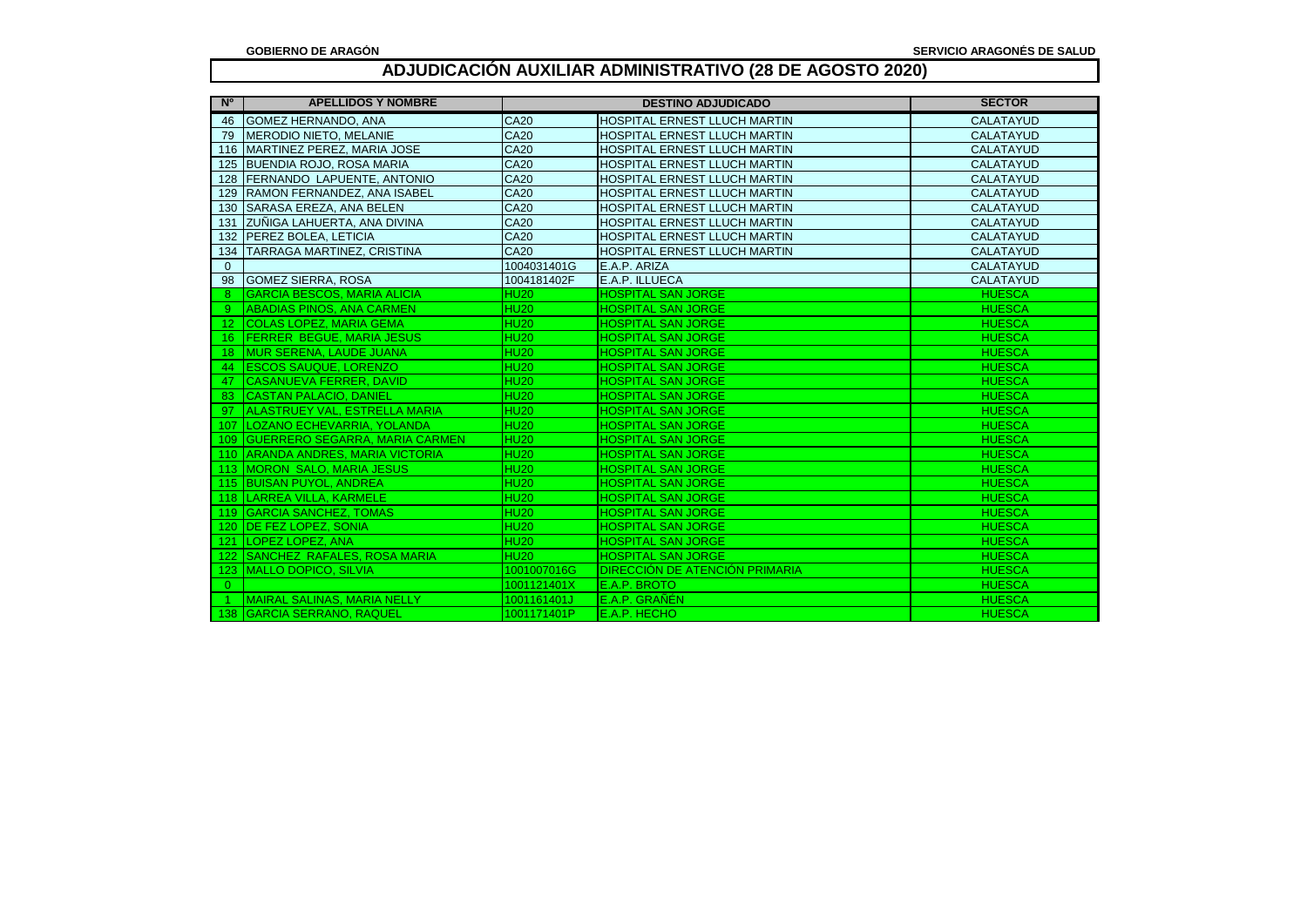| N <sup>o</sup>  | <b>APELLIDOS Y NOMBRE</b>            |             | <b>DESTINO ADJUDICADO</b>           | <b>SECTOR</b>    |
|-----------------|--------------------------------------|-------------|-------------------------------------|------------------|
| 46              | GOMEZ HERNANDO, ANA                  | <b>CA20</b> | <b>HOSPITAL ERNEST LLUCH MARTIN</b> | <b>CALATAYUD</b> |
| 79              | MERODIO NIETO, MELANIE               | <b>CA20</b> | HOSPITAL ERNEST LLUCH MARTIN        | CALATAYUD        |
|                 | 116 MARTINEZ PEREZ, MARIA JOSE       | <b>CA20</b> | HOSPITAL ERNEST LLUCH MARTIN        | <b>CALATAYUD</b> |
|                 | 125 BUENDIA ROJO, ROSA MARIA         | <b>CA20</b> | HOSPITAL ERNEST LLUCH MARTIN        | <b>CALATAYUD</b> |
| 128             | <b>FERNANDO LAPUENTE, ANTONIO</b>    | <b>CA20</b> | HOSPITAL ERNEST LLUCH MARTIN        | <b>CALATAYUD</b> |
| 129             | RAMON FERNANDEZ, ANA ISABEL          | <b>CA20</b> | <b>HOSPITAL ERNEST LLUCH MARTIN</b> | <b>CALATAYUD</b> |
|                 | 130 SARASA EREZA, ANA BELEN          | <b>CA20</b> | <b>HOSPITAL ERNEST LLUCH MARTIN</b> | <b>CALATAYUD</b> |
|                 | 131 ZUÑIGA LAHUERTA, ANA DIVINA      | <b>CA20</b> | <b>HOSPITAL ERNEST LLUCH MARTIN</b> | <b>CALATAYUD</b> |
|                 | 132 PEREZ BOLEA, LETICIA             | <b>CA20</b> | <b>HOSPITAL ERNEST LLUCH MARTIN</b> | <b>CALATAYUD</b> |
|                 | 134 TARRAGA MARTINEZ, CRISTINA       | <b>CA20</b> | <b>HOSPITAL ERNEST LLUCH MARTIN</b> | <b>CALATAYUD</b> |
| $\mathbf{0}$    |                                      | 1004031401G | E.A.P. ARIZA                        | <b>CALATAYUD</b> |
|                 | 98 GOMEZ SIERRA, ROSA                | 1004181402F | E.A.P. ILLUECA                      | <b>CALATAYUD</b> |
| 8               | <b>GARCIA BESCOS, MARIA ALICIA</b>   | <b>HU20</b> | <b>HOSPITAL SAN JORGE</b>           | <b>HUESCA</b>    |
|                 | <b>ABADIAS PINOS, ANA CARMEN</b>     | <b>HU20</b> | <b>HOSPITAL SAN JORGE</b>           | <b>HUESCA</b>    |
| 12 <sup>2</sup> | <b>COLAS LOPEZ, MARIA GEMA</b>       | <b>HU20</b> | <b>HOSPITAL SAN JORGE</b>           | <b>HUESCA</b>    |
|                 | 16 FERRER BEGUE, MARIA JESUS         | <b>HU20</b> | <b>HOSPITAL SAN JORGE</b>           | <b>HUESCA</b>    |
|                 | 18   MUR SERENA, LAUDE JUANA         | <b>HU20</b> | <b>HOSPITAL SAN JORGE</b>           | <b>HUESCA</b>    |
|                 | 44   ESCOS SAUQUE, LORENZO           | <b>HU20</b> | <b>HOSPITAL SAN JORGE</b>           | <b>HUESCA</b>    |
| -47             | <b>CASANUEVA FERRER, DAVID</b>       | <b>HU20</b> | <b>HOSPITAL SAN JORGE</b>           | <b>HUESCA</b>    |
| 83              | <b>CASTAN PALACIO, DANIEL</b>        | <b>HU20</b> | <b>HOSPITAL SAN JORGE</b>           | <b>HUESCA</b>    |
| -97.            | <b>ALASTRUEY VAL, ESTRELLA MARIA</b> | <b>HU20</b> | <b>HOSPITAL SAN JORGE</b>           | <b>HUESCA</b>    |
|                 | 107   LOZANO ECHEVARRIA, YOLANDA     | <b>HU20</b> | <b>HOSPITAL SAN JORGE</b>           | <b>HUESCA</b>    |
|                 | 109 GUERRERO SEGARRA, MARIA CARMEN   | <b>HU20</b> | <b>HOSPITAL SAN JORGE</b>           | <b>HUESCA</b>    |
|                 | 110 ARANDA ANDRES, MARIA VICTORIA    | <b>HU20</b> | <b>HOSPITAL SAN JORGE</b>           | <b>HUESCA</b>    |
|                 | 113 <b>IMORON SALO, MARIA JESUS</b>  | <b>HU20</b> | <b>HOSPITAL SAN JORGE</b>           | <b>HUESCA</b>    |
|                 | 115 BUISAN PUYOL, ANDREA             | <b>HU20</b> | <b>HOSPITAL SAN JORGE</b>           | <b>HUESCA</b>    |
|                 | 118 LARREA VILLA, KARMELE            | <b>HU20</b> | <b>HOSPITAL SAN JORGE</b>           | <b>HUESCA</b>    |
|                 | 119 GARCIA SANCHEZ, TOMAS            | <b>HU20</b> | <b>HOSPITAL SAN JORGE</b>           | <b>HUESCA</b>    |
|                 | 120 IDE FEZ LOPEZ, SONIA             | <b>HU20</b> | <b>HOSPITAL SAN JORGE</b>           | <b>HUESCA</b>    |
|                 | 121 LOPEZ LOPEZ, ANA                 | <b>HU20</b> | <b>HOSPITAL SAN JORGE</b>           | <b>HUESCA</b>    |
|                 | 122 SANCHEZ RAFALES, ROSA MARIA      | <b>HU20</b> | <b>HOSPITAL SAN JORGE</b>           | <b>HUESCA</b>    |
|                 | 123 MALLO DOPICO, SILVIA             | 1001007016G | DIRECCIÓN DE ATENCIÓN PRIMARIA      | <b>HUESCA</b>    |
| $\overline{0}$  |                                      | 1001121401X | E.A.P. BROTO                        | <b>HUESCA</b>    |
|                 | MAIRAL SALINAS, MARIA NELLY          | 1001161401J | E.A.P. GRANEN                       | <b>HUESCA</b>    |
|                 | 138 GARCIA SERRANO, RAQUEL           | 1001171401P | E.A.P. HECHO                        | <b>HUESCA</b>    |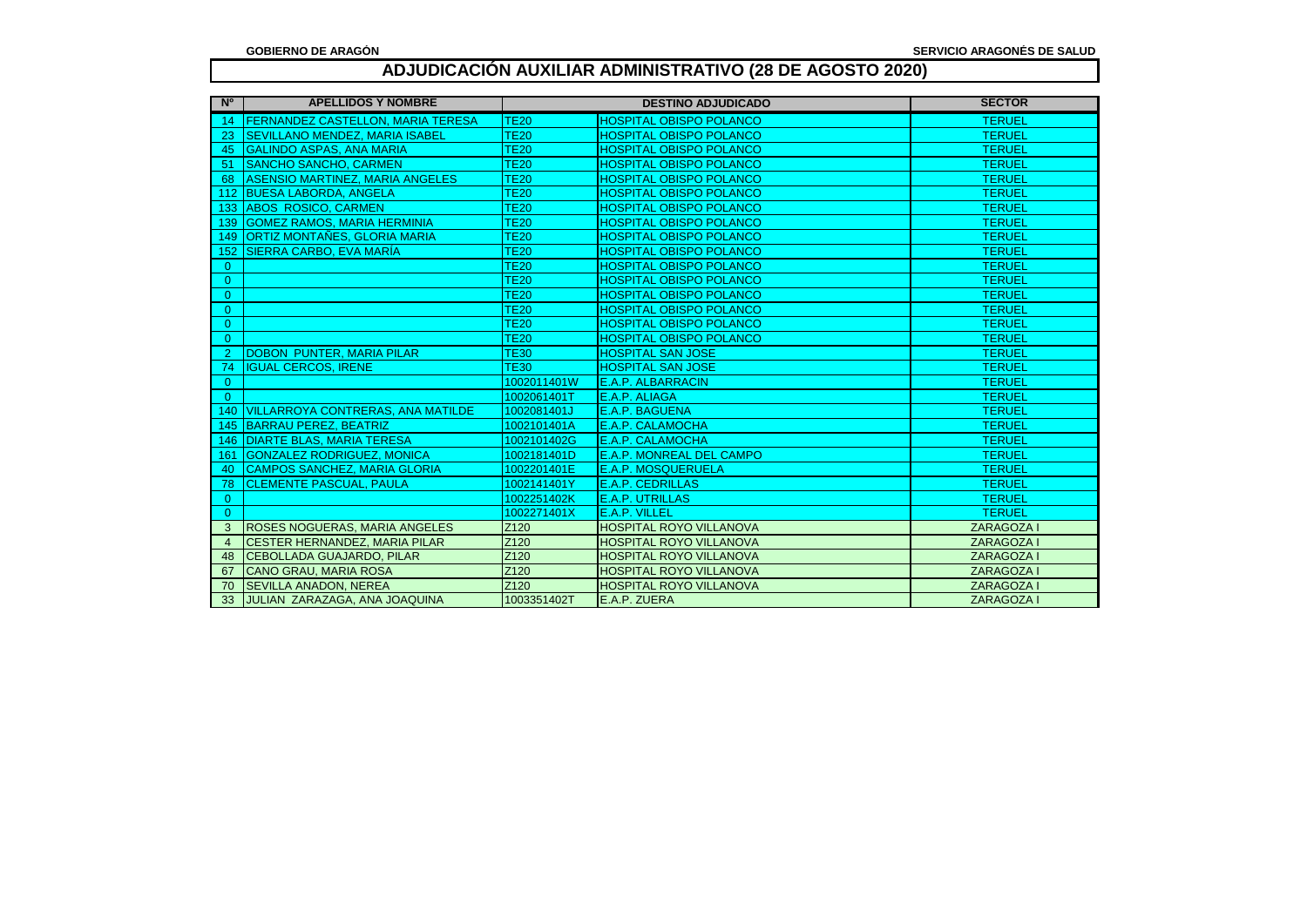| N <sup>o</sup> | <b>APELLIDOS Y NOMBRE</b>                | <b>DESTINO ADJUDICADO</b> |                                | <b>SECTOR</b>     |
|----------------|------------------------------------------|---------------------------|--------------------------------|-------------------|
| -14            | <b>FERNANDEZ CASTELLON, MARIA TERESA</b> | <b>TE20</b>               | <b>HOSPITAL OBISPO POLANCO</b> | <b>TERUEL</b>     |
| 23             | <b>SEVILLANO MENDEZ, MARIA ISABEL</b>    | <b>TE20</b>               | <b>HOSPITAL OBISPO POLANCO</b> | <b>TERUEL</b>     |
| 45             | <b>GALINDO ASPAS, ANA MARIA</b>          | <b>TE20</b>               | <b>HOSPITAL OBISPO POLANCO</b> | <b>TERUEL</b>     |
| -51            | <b>SANCHO SANCHO, CARMEN</b>             | <b>TE20</b>               | <b>HOSPITAL OBISPO POLANCO</b> | <b>TERUEL</b>     |
| 68             | <b>ASENSIO MARTINEZ, MARIA ANGELES</b>   | <b>TE20</b>               | <b>HOSPITAL OBISPO POLANCO</b> | <b>TERUEL</b>     |
| 112            | <b>BUESA LABORDA, ANGELA</b>             | <b>TE20</b>               | <b>HOSPITAL OBISPO POLANCO</b> | <b>TERUEL</b>     |
| 133            | <b>ABOS ROSICO, CARMEN</b>               | <b>TE20</b>               | <b>HOSPITAL OBISPO POLANCO</b> | <b>TERUEL</b>     |
| 139            | <b>GOMEZ RAMOS, MARIA HERMINIA</b>       | <b>TE20</b>               | <b>HOSPITAL OBISPO POLANCO</b> | <b>TERUEL</b>     |
| 149            | ORTIZ MONTAÑES, GLORIA MARIA             | <b>TE20</b>               | <b>HOSPITAL OBISPO POLANCO</b> | <b>TERUEL</b>     |
| 152            | SIERRA CARBO. EVA MARÍA                  | <b>TE20</b>               | <b>HOSPITAL OBISPO POLANCO</b> | <b>TERUEL</b>     |
| $\overline{0}$ |                                          | <b>TE20</b>               | <b>HOSPITAL OBISPO POLANCO</b> | <b>TERUEL</b>     |
| $\overline{0}$ |                                          | <b>TE20</b>               | <b>HOSPITAL OBISPO POLANCO</b> | <b>TERUEL</b>     |
| $\mathbf{0}$   |                                          | <b>TE20</b>               | <b>HOSPITAL OBISPO POLANCO</b> | <b>TERUEL</b>     |
| $\overline{0}$ |                                          | <b>TE20</b>               | <b>HOSPITAL OBISPO POLANCO</b> | <b>TERUEL</b>     |
| $\overline{0}$ |                                          | <b>TE20</b>               | <b>HOSPITAL OBISPO POLANCO</b> | <b>TERUEL</b>     |
| $\Omega$       |                                          | <b>TE20</b>               | <b>HOSPITAL OBISPO POLANCO</b> | <b>TERUEL</b>     |
| 2              | <b>DOBON PUNTER, MARIA PILAR</b>         | <b>TE30</b>               | <b>HOSPITAL SAN JOSE</b>       | <b>TERUEL</b>     |
| -74            | <b>IGUAL CERCOS, IRENE</b>               | <b>TE30</b>               | <b>HOSPITAL SAN JOSE</b>       | <b>TERUEL</b>     |
| $\mathbf{0}$   |                                          | 1002011401W               | E.A.P. ALBARRACIN              | <b>TERUEL</b>     |
| $\mathbf{0}$   |                                          | 1002061401T               | E.A.P. ALIAGA                  | <b>TERUEL</b>     |
| 140            | <b>VILLARROYA CONTRERAS, ANA MATILDE</b> | 1002081401J               | <b>E.A.P. BAGUENA</b>          | <b>TERUEL</b>     |
| 145            | BARRAU PEREZ, BEATRIZ                    | 1002101401A               | <b>E.A.P. CALAMOCHA</b>        | <b>TERUEL</b>     |
| 146            | <b>DIARTE BLAS, MARIA TERESA</b>         | 1002101402G               | E.A.P. CALAMOCHA               | <b>TERUEL</b>     |
| 161            | <b>GONZALEZ RODRIGUEZ, MONICA</b>        | 1002181401D               | E.A.P. MONREAL DEL CAMPO       | <b>TERUEL</b>     |
| 40             | <b>CAMPOS SANCHEZ, MARIA GLORIA</b>      | 1002201401E               | <b>E.A.P. MOSQUERUELA</b>      | <b>TERUEL</b>     |
| 78             | <b>CLEMENTE PASCUAL, PAULA</b>           | 1002141401Y               | <b>E.A.P. CEDRILLAS</b>        | <b>TERUEL</b>     |
| $\mathbf{0}$   |                                          | 1002251402K               | <b>E.A.P. UTRILLAS</b>         | <b>TERUEL</b>     |
| $\overline{0}$ |                                          | 1002271401X               | E.A.P. VILLEL                  | <b>TERUEL</b>     |
| 3              | <b>ROSES NOGUERAS, MARIA ANGELES</b>     | Z <sub>120</sub>          | <b>HOSPITAL ROYO VILLANOVA</b> | ZARAGOZA I        |
| $\overline{4}$ | <b>CESTER HERNANDEZ. MARIA PILAR</b>     | Z <sub>120</sub>          | <b>HOSPITAL ROYO VILLANOVA</b> | <b>ZARAGOZA I</b> |
| 48             | <b>CEBOLLADA GUAJARDO, PILAR</b>         | Z <sub>120</sub>          | HOSPITAL ROYO VILLANOVA        | <b>ZARAGOZA I</b> |
| 67             | <b>CANO GRAU, MARIA ROSA</b>             | Z120                      | HOSPITAL ROYO VILLANOVA        | ZARAGOZA I        |
| 70             | <b>SEVILLA ANADON, NEREA</b>             | Z <sub>120</sub>          | <b>HOSPITAL ROYO VILLANOVA</b> | <b>ZARAGOZA I</b> |
| 33             | JULIAN ZARAZAGA, ANA JOAQUINA            | 1003351402T               | E.A.P. ZUERA                   | <b>ZARAGOZA I</b> |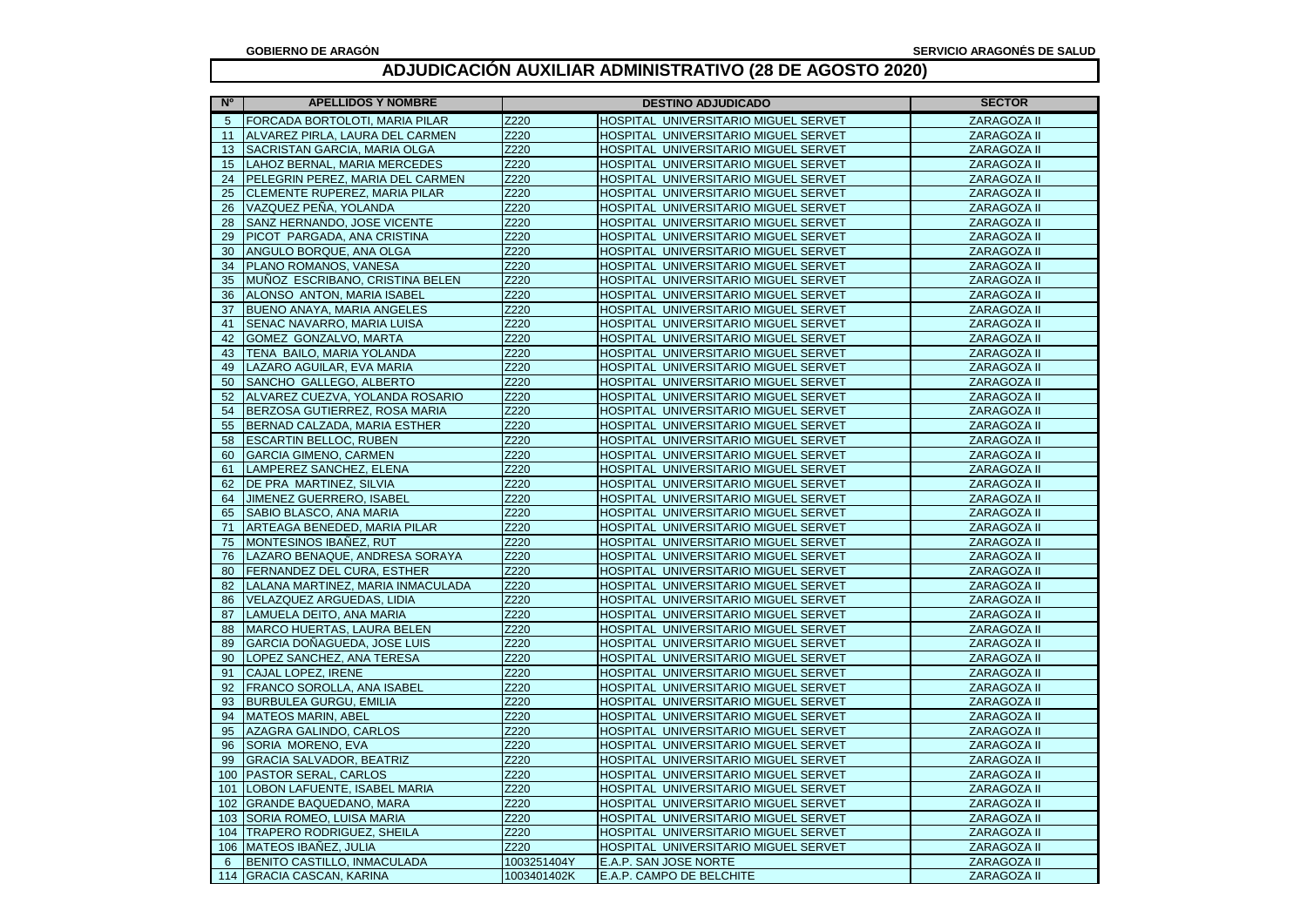| N <sup>o</sup> | <b>APELLIDOS Y NOMBRE</b>         | <b>DESTINO ADJUDICADO</b> |                                      | <b>SECTOR</b> |
|----------------|-----------------------------------|---------------------------|--------------------------------------|---------------|
| 5              | FORCADA BORTOLOTI, MARIA PILAR    | Z220                      | HOSPITAL UNIVERSITARIO MIGUEL SERVET | ZARAGOZA II   |
| 11             | ALVAREZ PIRLA, LAURA DEL CARMEN   | Z220                      | HOSPITAL UNIVERSITARIO MIGUEL SERVET | ZARAGOZA II   |
| 13             | SACRISTAN GARCIA, MARIA OLGA      | Z220                      | HOSPITAL UNIVERSITARIO MIGUEL SERVET | ZARAGOZA II   |
| 15             | LAHOZ BERNAL, MARIA MERCEDES      | Z220                      | HOSPITAL UNIVERSITARIO MIGUEL SERVET | ZARAGOZA II   |
| 24             | PELEGRIN PEREZ, MARIA DEL CARMEN  | Z220                      | HOSPITAL UNIVERSITARIO MIGUEL SERVET | ZARAGOZA II   |
| 25             | CLEMENTE RUPEREZ, MARIA PILAR     | Z220                      | HOSPITAL UNIVERSITARIO MIGUEL SERVET | ZARAGOZA II   |
| 26             | VAZQUEZ PEÑA, YOLANDA             | Z220                      | HOSPITAL UNIVERSITARIO MIGUEL SERVET | ZARAGOZA II   |
| 28             | SANZ HERNANDO, JOSE VICENTE       | Z220                      | HOSPITAL UNIVERSITARIO MIGUEL SERVET | ZARAGOZA II   |
| 29             | PICOT PARGADA, ANA CRISTINA       | Z220                      | HOSPITAL UNIVERSITARIO MIGUEL SERVET | ZARAGOZA II   |
| 30             | ANGULO BORQUE, ANA OLGA           | Z220                      | HOSPITAL UNIVERSITARIO MIGUEL SERVET | ZARAGOZA II   |
| 34             | PLANO ROMANOS, VANESA             | Z220                      | HOSPITAL UNIVERSITARIO MIGUEL SERVET | ZARAGOZA II   |
| 35             | MUÑOZ ESCRIBANO, CRISTINA BELEN   | Z220                      | HOSPITAL UNIVERSITARIO MIGUEL SERVET | ZARAGOZA II   |
| 36             | ALONSO ANTON, MARIA ISABEL        | Z220                      | HOSPITAL UNIVERSITARIO MIGUEL SERVET | ZARAGOZA II   |
| 37             | BUENO ANAYA, MARIA ANGELES        | Z220                      | HOSPITAL UNIVERSITARIO MIGUEL SERVET | ZARAGOZA II   |
| 41             | SENAC NAVARRO, MARIA LUISA        | Z220                      | HOSPITAL UNIVERSITARIO MIGUEL SERVET | ZARAGOZA II   |
| 42             | GOMEZ GONZALVO, MARTA             | Z220                      | HOSPITAL UNIVERSITARIO MIGUEL SERVET | ZARAGOZA II   |
| 43             | TENA BAILO, MARIA YOLANDA         | Z220                      | HOSPITAL UNIVERSITARIO MIGUEL SERVET | ZARAGOZA II   |
| 49             | LAZARO AGUILAR, EVA MARIA         | Z220                      | HOSPITAL UNIVERSITARIO MIGUEL SERVET | ZARAGOZA II   |
| 50             | SANCHO GALLEGO, ALBERTO           | Z220                      | HOSPITAL UNIVERSITARIO MIGUEL SERVET | ZARAGOZA II   |
| 52             | ALVAREZ CUEZVA, YOLANDA ROSARIO   | Z220                      | HOSPITAL UNIVERSITARIO MIGUEL SERVET | ZARAGOZA II   |
| 54             | BERZOSA GUTIERREZ, ROSA MARIA     | Z220                      | HOSPITAL UNIVERSITARIO MIGUEL SERVET | ZARAGOZA II   |
| 55             | BERNAD CALZADA, MARIA ESTHER      | Z220                      | HOSPITAL UNIVERSITARIO MIGUEL SERVET | ZARAGOZA II   |
| 58             | <b>ESCARTIN BELLOC, RUBEN</b>     | Z220                      | HOSPITAL UNIVERSITARIO MIGUEL SERVET | ZARAGOZA II   |
| 60             | <b>GARCIA GIMENO, CARMEN</b>      | Z220                      | HOSPITAL UNIVERSITARIO MIGUEL SERVET | ZARAGOZA II   |
| 61             | LAMPEREZ SANCHEZ, ELENA           | Z220                      | HOSPITAL UNIVERSITARIO MIGUEL SERVET | ZARAGOZA II   |
| 62             | DE PRA MARTINEZ, SILVIA           | Z220                      | HOSPITAL UNIVERSITARIO MIGUEL SERVET | ZARAGOZA II   |
| 64             | JIMENEZ GUERRERO, ISABEL          | Z220                      | HOSPITAL UNIVERSITARIO MIGUEL SERVET | ZARAGOZA II   |
| 65             | SABIO BLASCO, ANA MARIA           | Z220                      | HOSPITAL UNIVERSITARIO MIGUEL SERVET | ZARAGOZA II   |
| 71             | ARTEAGA BENEDED, MARIA PILAR      | Z220                      | HOSPITAL UNIVERSITARIO MIGUEL SERVET | ZARAGOZA II   |
| 75             | MONTESINOS IBAÑEZ, RUT            | Z220                      | HOSPITAL UNIVERSITARIO MIGUEL SERVET | ZARAGOZA II   |
| 76             | LAZARO BENAQUE, ANDRESA SORAYA    | Z220                      | HOSPITAL UNIVERSITARIO MIGUEL SERVET | ZARAGOZA II   |
| 80             | FERNANDEZ DEL CURA, ESTHER        | Z220                      | HOSPITAL UNIVERSITARIO MIGUEL SERVET | ZARAGOZA II   |
| 82             | LALANA MARTINEZ, MARIA INMACULADA | Z220                      | HOSPITAL UNIVERSITARIO MIGUEL SERVET | ZARAGOZA II   |
| 86             | VELAZQUEZ ARGUEDAS, LIDIA         | Z220                      | HOSPITAL UNIVERSITARIO MIGUEL SERVET | ZARAGOZA II   |
| 87             | LAMUELA DEITO, ANA MARIA          | Z220                      | HOSPITAL UNIVERSITARIO MIGUEL SERVET | ZARAGOZA II   |
| 88             | <b>MARCO HUERTAS, LAURA BELEN</b> | Z220                      | HOSPITAL UNIVERSITARIO MIGUEL SERVET | ZARAGOZA II   |
| 89             | GARCIA DOÑAGUEDA, JOSE LUIS       | Z220                      | HOSPITAL UNIVERSITARIO MIGUEL SERVET | ZARAGOZA II   |
| 90             | LOPEZ SANCHEZ, ANA TERESA         | Z220                      | HOSPITAL UNIVERSITARIO MIGUEL SERVET | ZARAGOZA II   |
| 91             | CAJAL LOPEZ, IRENE                | Z220                      | HOSPITAL UNIVERSITARIO MIGUEL SERVET | ZARAGOZA II   |
| 92             | FRANCO SOROLLA, ANA ISABEL        | Z220                      | HOSPITAL UNIVERSITARIO MIGUEL SERVET | ZARAGOZA II   |
| 93             | <b>BURBULEA GURGU, EMILIA</b>     | Z220                      | HOSPITAL UNIVERSITARIO MIGUEL SERVET | ZARAGOZA II   |
| 94             | <b>MATEOS MARIN, ABEL</b>         | Z220                      | HOSPITAL UNIVERSITARIO MIGUEL SERVET | ZARAGOZA II   |
| 95             | <b>AZAGRA GALINDO, CARLOS</b>     | Z220                      | HOSPITAL UNIVERSITARIO MIGUEL SERVET | ZARAGOZA II   |
| 96             | SORIA MORENO, EVA                 | Z220                      | HOSPITAL UNIVERSITARIO MIGUEL SERVET | ZARAGOZA II   |
| 99             | <b>GRACIA SALVADOR, BEATRIZ</b>   | Z220                      | HOSPITAL UNIVERSITARIO MIGUEL SERVET | ZARAGOZA II   |
| 100            | <b>PASTOR SERAL, CARLOS</b>       | Z220                      | HOSPITAL UNIVERSITARIO MIGUEL SERVET | ZARAGOZA II   |
| 101            | LOBON LAFUENTE, ISABEL MARIA      | Z220                      | HOSPITAL UNIVERSITARIO MIGUEL SERVET | ZARAGOZA II   |
| 102            | <b>GRANDE BAQUEDANO, MARA</b>     | Z220                      | HOSPITAL UNIVERSITARIO MIGUEL SERVET | ZARAGOZA II   |
| 103            | SORIA ROMEO, LUISA MARIA          | Z220                      | HOSPITAL UNIVERSITARIO MIGUEL SERVET | ZARAGOZA II   |
|                | 104   TRAPERO RODRIGUEZ, SHEILA   | Z220                      | HOSPITAL UNIVERSITARIO MIGUEL SERVET | ZARAGOZA II   |
|                | 106 MATEOS IBAÑEZ, JULIA          | Z220                      | HOSPITAL UNIVERSITARIO MIGUEL SERVET | ZARAGOZA II   |
| 6              | BENITO CASTILLO, INMACULADA       | 1003251404Y               | E.A.P. SAN JOSE NORTE                | ZARAGOZA II   |
|                | 114 GRACIA CASCAN, KARINA         | 1003401402K               | E.A.P. CAMPO DE BELCHITE             | ZARAGOZA II   |